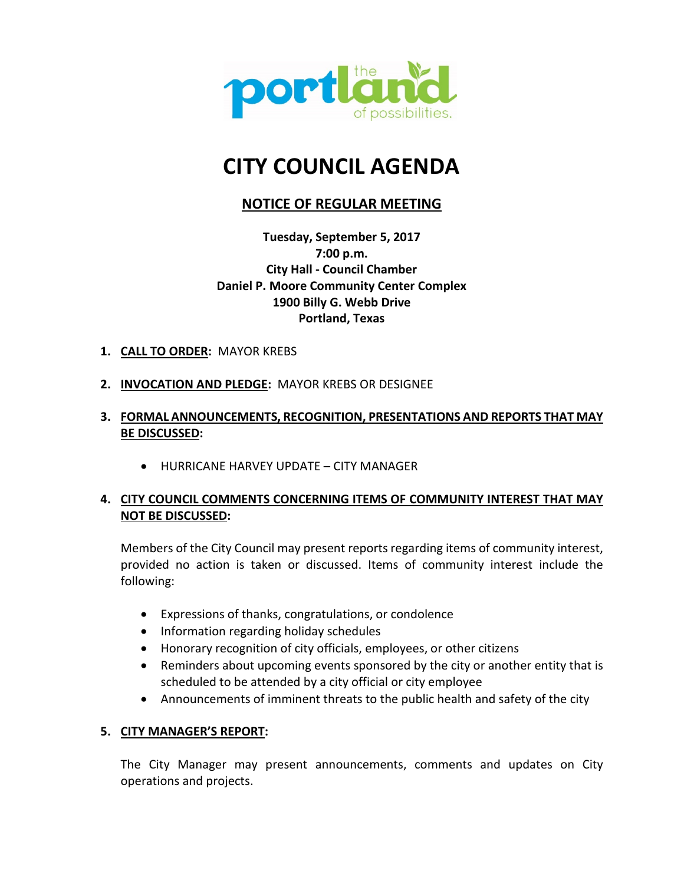

# **CITY COUNCIL AGENDA**

## **NOTICE OF REGULAR MEETING**

**Tuesday, September 5, 2017 7:00 p.m. City Hall - Council Chamber Daniel P. Moore Community Center Complex 1900 Billy G. Webb Drive Portland, Texas**

- **1. CALL TO ORDER:** MAYOR KREBS
- **2. INVOCATION AND PLEDGE:** MAYOR KREBS OR DESIGNEE

## **3. FORMAL ANNOUNCEMENTS, RECOGNITION, PRESENTATIONS AND REPORTS THAT MAY BE DISCUSSED:**

• HURRICANE HARVEY UPDATE – CITY MANAGER

## **4. CITY COUNCIL COMMENTS CONCERNING ITEMS OF COMMUNITY INTEREST THAT MAY NOT BE DISCUSSED:**

Members of the City Council may present reports regarding items of community interest, provided no action is taken or discussed. Items of community interest include the following:

- Expressions of thanks, congratulations, or condolence
- Information regarding holiday schedules
- Honorary recognition of city officials, employees, or other citizens
- Reminders about upcoming events sponsored by the city or another entity that is scheduled to be attended by a city official or city employee
- Announcements of imminent threats to the public health and safety of the city

## **5. CITY MANAGER'S REPORT:**

The City Manager may present announcements, comments and updates on City operations and projects.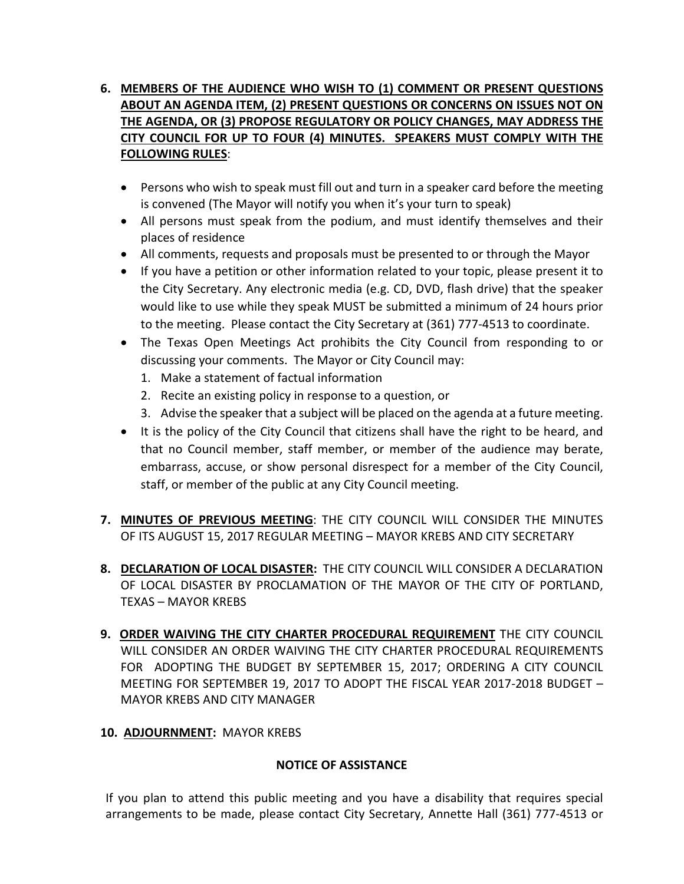## **6. MEMBERS OF THE AUDIENCE WHO WISH TO (1) COMMENT OR PRESENT QUESTIONS ABOUT AN AGENDA ITEM, (2) PRESENT QUESTIONS OR CONCERNS ON ISSUES NOT ON THE AGENDA, OR (3) PROPOSE REGULATORY OR POLICY CHANGES, MAY ADDRESS THE CITY COUNCIL FOR UP TO FOUR (4) MINUTES. SPEAKERS MUST COMPLY WITH THE FOLLOWING RULES**:

- Persons who wish to speak must fill out and turn in a speaker card before the meeting is convened (The Mayor will notify you when it's your turn to speak)
- All persons must speak from the podium, and must identify themselves and their places of residence
- All comments, requests and proposals must be presented to or through the Mayor
- If you have a petition or other information related to your topic, please present it to the City Secretary. Any electronic media (e.g. CD, DVD, flash drive) that the speaker would like to use while they speak MUST be submitted a minimum of 24 hours prior to the meeting. Please contact the City Secretary at (361) 777-4513 to coordinate.
- The Texas Open Meetings Act prohibits the City Council from responding to or discussing your comments. The Mayor or City Council may:
	- 1. Make a statement of factual information
	- 2. Recite an existing policy in response to a question, or
	- 3. Advise the speaker that a subject will be placed on the agenda at a future meeting.
- It is the policy of the City Council that citizens shall have the right to be heard, and that no Council member, staff member, or member of the audience may berate, embarrass, accuse, or show personal disrespect for a member of the City Council, staff, or member of the public at any City Council meeting.
- **7. MINUTES OF PREVIOUS MEETING**: THE CITY COUNCIL WILL CONSIDER THE MINUTES OF ITS AUGUST 15, 2017 REGULAR MEETING – MAYOR KREBS AND CITY SECRETARY
- **8. DECLARATION OF LOCAL DISASTER:** THE CITY COUNCIL WILL CONSIDER A DECLARATION OF LOCAL DISASTER BY PROCLAMATION OF THE MAYOR OF THE CITY OF PORTLAND, TEXAS – MAYOR KREBS
- **9. ORDER WAIVING THE CITY CHARTER PROCEDURAL REQUIREMENT** THE CITY COUNCIL WILL CONSIDER AN ORDER WAIVING THE CITY CHARTER PROCEDURAL REQUIREMENTS FOR ADOPTING THE BUDGET BY SEPTEMBER 15, 2017; ORDERING A CITY COUNCIL MEETING FOR SEPTEMBER 19, 2017 TO ADOPT THE FISCAL YEAR 2017-2018 BUDGET – MAYOR KREBS AND CITY MANAGER
- **10. ADJOURNMENT:** MAYOR KREBS

## **NOTICE OF ASSISTANCE**

If you plan to attend this public meeting and you have a disability that requires special arrangements to be made, please contact City Secretary, Annette Hall (361) 777-4513 or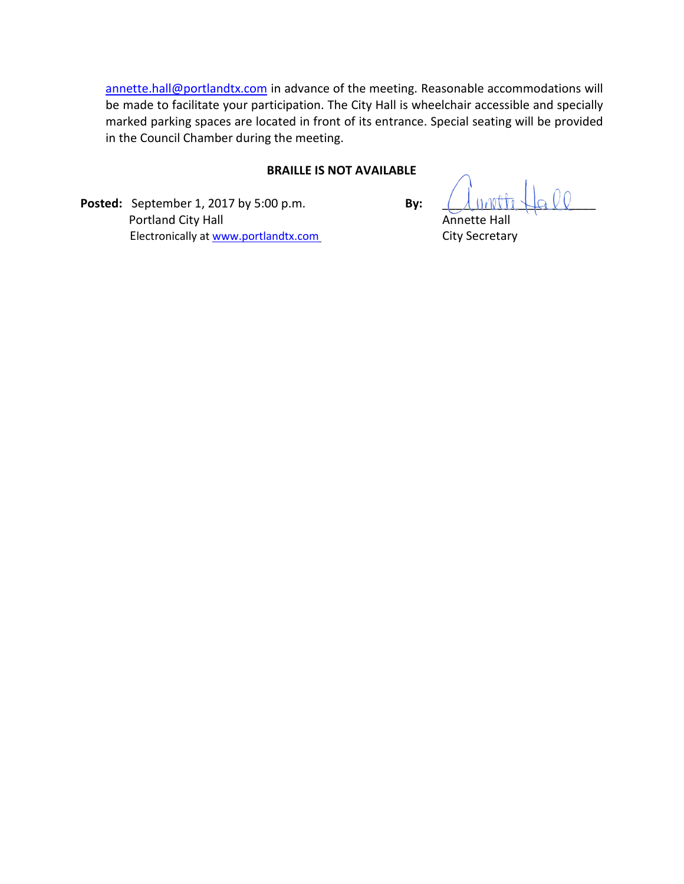annette.hall@portlandtx.com in advance of the meeting. Reasonable accommodations will be made to facilitate your participation. The City Hall is wheelchair accessible and specially marked parking spaces are located in front of its entrance. Special seating will be provided in the Council Chamber during the meeting.

#### **BRAILLE IS NOT AVAILABLE**

**Posted:** September 1, 2017 by 5:00 p.m. **By: Portland City Hall Annette Hall Annette Hall** Electronically at www.portlandtx.com City Secretary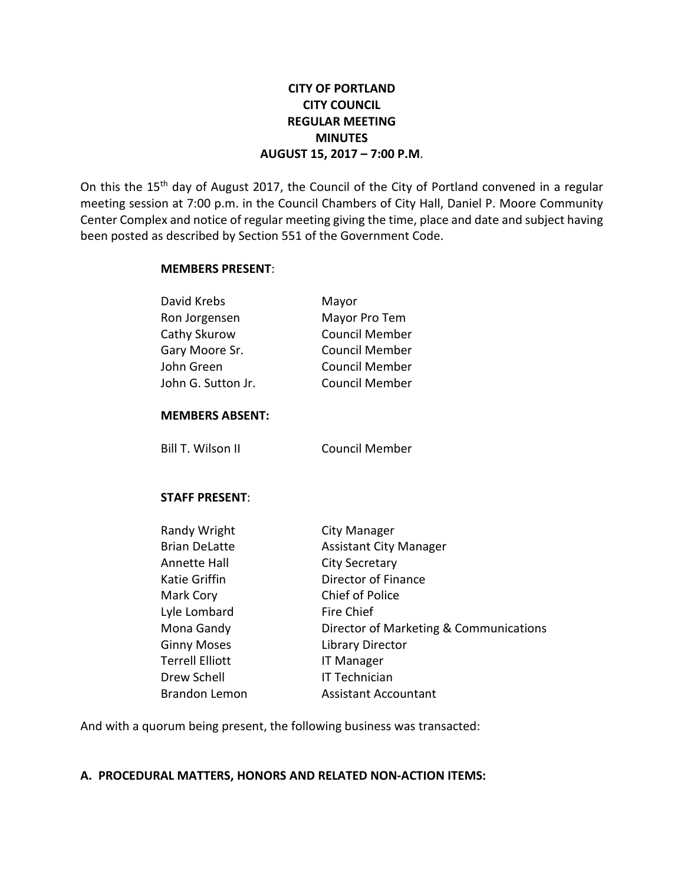## **CITY OF PORTLAND CITY COUNCIL REGULAR MEETING MINUTES AUGUST 15, 2017 – 7:00 P.M**.

On this the 15<sup>th</sup> day of August 2017, the Council of the City of Portland convened in a regular meeting session at 7:00 p.m. in the Council Chambers of City Hall, Daniel P. Moore Community Center Complex and notice of regular meeting giving the time, place and date and subject having been posted as described by Section 551 of the Government Code.

#### **MEMBERS PRESENT**:

| David Krebs<br>Ron Jorgensen<br>Cathy Skurow<br>Gary Moore Sr.<br>John Green<br>John G. Sutton Jr.                                                                                                                    | Mayor<br>Mayor Pro Tem<br><b>Council Member</b><br><b>Council Member</b><br><b>Council Member</b><br><b>Council Member</b>                                                                                                                                                             |
|-----------------------------------------------------------------------------------------------------------------------------------------------------------------------------------------------------------------------|----------------------------------------------------------------------------------------------------------------------------------------------------------------------------------------------------------------------------------------------------------------------------------------|
| <b>MEMBERS ABSENT:</b>                                                                                                                                                                                                |                                                                                                                                                                                                                                                                                        |
| Bill T. Wilson II                                                                                                                                                                                                     | <b>Council Member</b>                                                                                                                                                                                                                                                                  |
| <b>STAFF PRESENT:</b>                                                                                                                                                                                                 |                                                                                                                                                                                                                                                                                        |
| Randy Wright<br><b>Brian DeLatte</b><br>Annette Hall<br><b>Katie Griffin</b><br>Mark Cory<br>Lyle Lombard<br>Mona Gandy<br><b>Ginny Moses</b><br><b>Terrell Elliott</b><br><b>Drew Schell</b><br><b>Brandon Lemon</b> | City Manager<br><b>Assistant City Manager</b><br><b>City Secretary</b><br>Director of Finance<br>Chief of Police<br><b>Fire Chief</b><br>Director of Marketing & Communications<br><b>Library Director</b><br><b>IT Manager</b><br><b>IT Technician</b><br><b>Assistant Accountant</b> |

And with a quorum being present, the following business was transacted:

#### **A. PROCEDURAL MATTERS, HONORS AND RELATED NON-ACTION ITEMS:**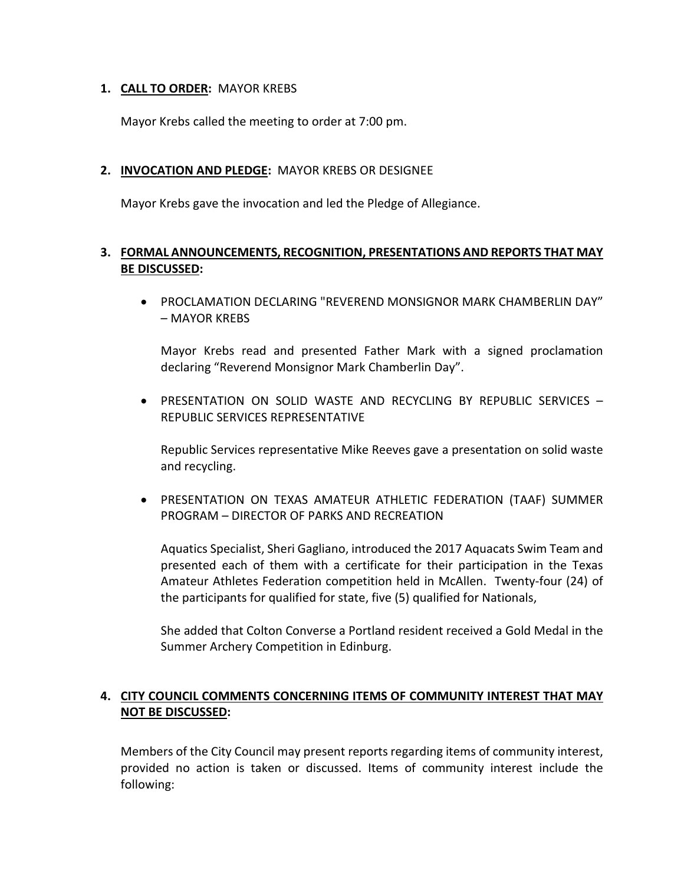#### **1. CALL TO ORDER:** MAYOR KREBS

Mayor Krebs called the meeting to order at 7:00 pm.

#### **2. INVOCATION AND PLEDGE:** MAYOR KREBS OR DESIGNEE

Mayor Krebs gave the invocation and led the Pledge of Allegiance.

## **3. FORMAL ANNOUNCEMENTS, RECOGNITION, PRESENTATIONS AND REPORTS THAT MAY BE DISCUSSED:**

• PROCLAMATION DECLARING "REVEREND MONSIGNOR MARK CHAMBERLIN DAY" – MAYOR KREBS

Mayor Krebs read and presented Father Mark with a signed proclamation declaring "Reverend Monsignor Mark Chamberlin Day".

• PRESENTATION ON SOLID WASTE AND RECYCLING BY REPUBLIC SERVICES – REPUBLIC SERVICES REPRESENTATIVE

Republic Services representative Mike Reeves gave a presentation on solid waste and recycling.

• PRESENTATION ON TEXAS AMATEUR ATHLETIC FEDERATION (TAAF) SUMMER PROGRAM – DIRECTOR OF PARKS AND RECREATION

Aquatics Specialist, Sheri Gagliano, introduced the 2017 Aquacats Swim Team and presented each of them with a certificate for their participation in the Texas Amateur Athletes Federation competition held in McAllen. Twenty-four (24) of the participants for qualified for state, five (5) qualified for Nationals,

She added that Colton Converse a Portland resident received a Gold Medal in the Summer Archery Competition in Edinburg.

## **4. CITY COUNCIL COMMENTS CONCERNING ITEMS OF COMMUNITY INTEREST THAT MAY NOT BE DISCUSSED:**

Members of the City Council may present reports regarding items of community interest, provided no action is taken or discussed. Items of community interest include the following: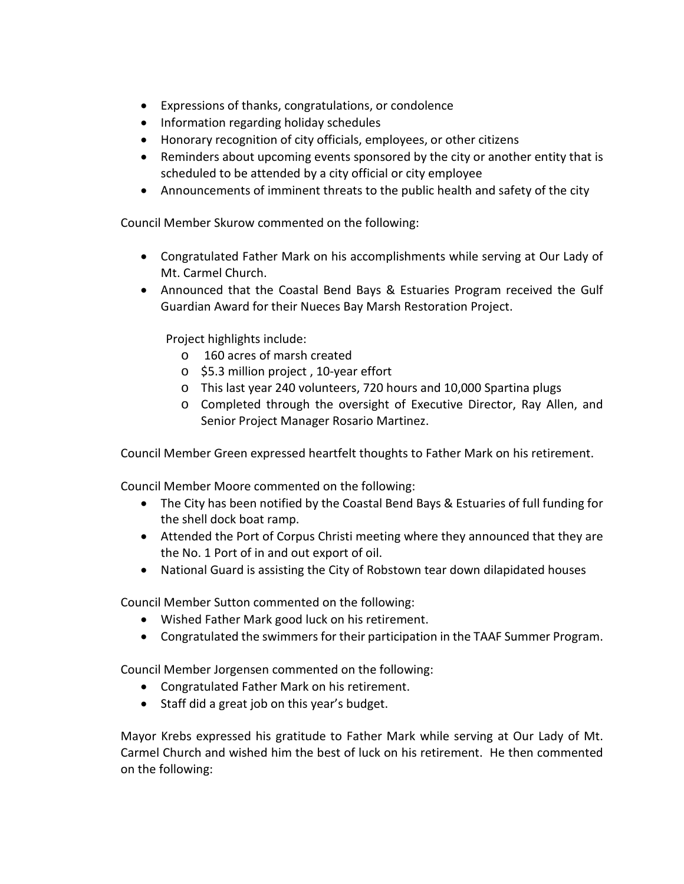- Expressions of thanks, congratulations, or condolence
- Information regarding holiday schedules
- Honorary recognition of city officials, employees, or other citizens
- Reminders about upcoming events sponsored by the city or another entity that is scheduled to be attended by a city official or city employee
- Announcements of imminent threats to the public health and safety of the city

Council Member Skurow commented on the following:

- Congratulated Father Mark on his accomplishments while serving at Our Lady of Mt. Carmel Church.
- Announced that the Coastal Bend Bays & Estuaries Program received the Gulf Guardian Award for their Nueces Bay Marsh Restoration Project.

Project highlights include:

- o 160 acres of marsh created
- o \$5.3 million project , 10-year effort
- o This last year 240 volunteers, 720 hours and 10,000 Spartina plugs
- o Completed through the oversight of Executive Director, Ray Allen, and Senior Project Manager Rosario Martinez.

Council Member Green expressed heartfelt thoughts to Father Mark on his retirement.

Council Member Moore commented on the following:

- The City has been notified by the Coastal Bend Bays & Estuaries of full funding for the shell dock boat ramp.
- Attended the Port of Corpus Christi meeting where they announced that they are the No. 1 Port of in and out export of oil.
- National Guard is assisting the City of Robstown tear down dilapidated houses

Council Member Sutton commented on the following:

- Wished Father Mark good luck on his retirement.
- Congratulated the swimmers for their participation in the TAAF Summer Program.

Council Member Jorgensen commented on the following:

- Congratulated Father Mark on his retirement.
- Staff did a great job on this year's budget.

Mayor Krebs expressed his gratitude to Father Mark while serving at Our Lady of Mt. Carmel Church and wished him the best of luck on his retirement. He then commented on the following: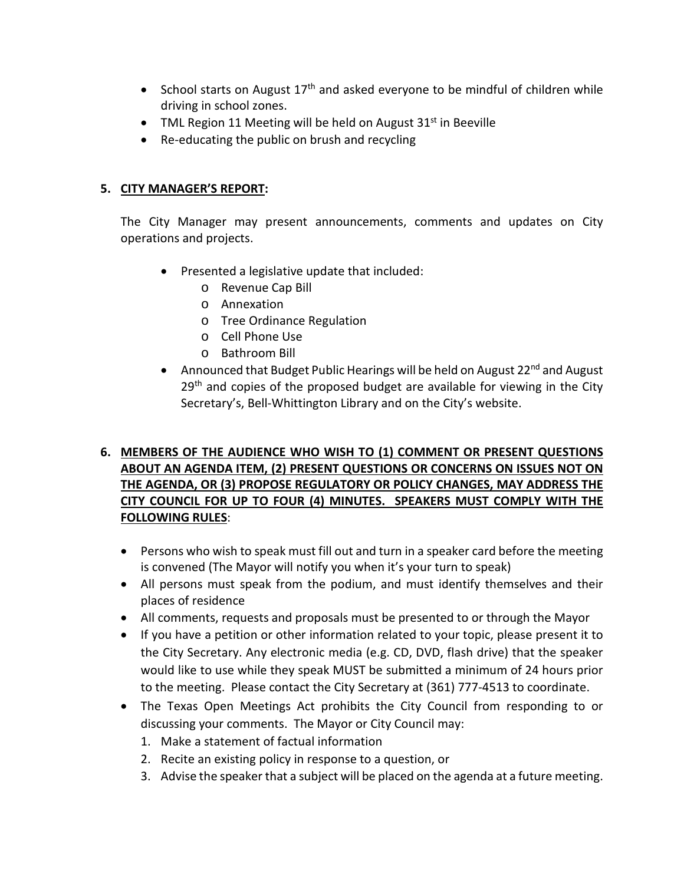- School starts on August  $17<sup>th</sup>$  and asked everyone to be mindful of children while driving in school zones.
- TML Region 11 Meeting will be held on August  $31<sup>st</sup>$  in Beeville
- Re-educating the public on brush and recycling

## **5. CITY MANAGER'S REPORT:**

The City Manager may present announcements, comments and updates on City operations and projects.

- Presented a legislative update that included:
	- o Revenue Cap Bill
	- o Annexation
	- o Tree Ordinance Regulation
	- o Cell Phone Use
	- o Bathroom Bill
- Announced that Budget Public Hearings will be held on August  $22^{nd}$  and August 29<sup>th</sup> and copies of the proposed budget are available for viewing in the City Secretary's, Bell-Whittington Library and on the City's website.

## **6. MEMBERS OF THE AUDIENCE WHO WISH TO (1) COMMENT OR PRESENT QUESTIONS ABOUT AN AGENDA ITEM, (2) PRESENT QUESTIONS OR CONCERNS ON ISSUES NOT ON THE AGENDA, OR (3) PROPOSE REGULATORY OR POLICY CHANGES, MAY ADDRESS THE CITY COUNCIL FOR UP TO FOUR (4) MINUTES. SPEAKERS MUST COMPLY WITH THE FOLLOWING RULES**:

- Persons who wish to speak must fill out and turn in a speaker card before the meeting is convened (The Mayor will notify you when it's your turn to speak)
- All persons must speak from the podium, and must identify themselves and their places of residence
- All comments, requests and proposals must be presented to or through the Mayor
- If you have a petition or other information related to your topic, please present it to the City Secretary. Any electronic media (e.g. CD, DVD, flash drive) that the speaker would like to use while they speak MUST be submitted a minimum of 24 hours prior to the meeting. Please contact the City Secretary at (361) 777-4513 to coordinate.
- The Texas Open Meetings Act prohibits the City Council from responding to or discussing your comments. The Mayor or City Council may:
	- 1. Make a statement of factual information
	- 2. Recite an existing policy in response to a question, or
	- 3. Advise the speaker that a subject will be placed on the agenda at a future meeting.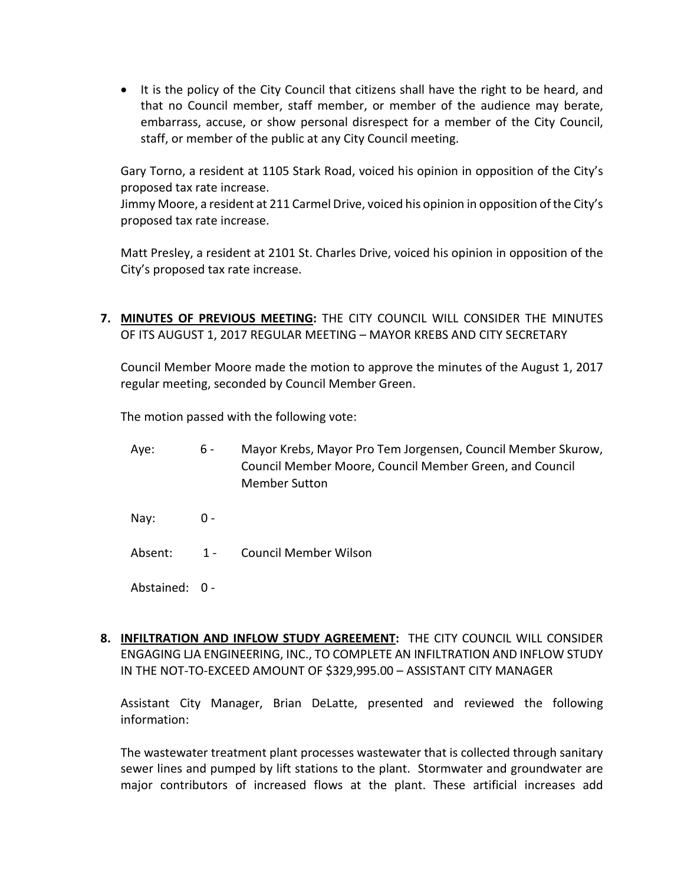• It is the policy of the City Council that citizens shall have the right to be heard, and that no Council member, staff member, or member of the audience may berate, embarrass, accuse, or show personal disrespect for a member of the City Council, staff, or member of the public at any City Council meeting.

Gary Torno, a resident at 1105 Stark Road, voiced his opinion in opposition of the City's proposed tax rate increase.

Jimmy Moore, a resident at 211 Carmel Drive, voiced his opinion in opposition of the City's proposed tax rate increase.

Matt Presley, a resident at 2101 St. Charles Drive, voiced his opinion in opposition of the City's proposed tax rate increase.

**7. MINUTES OF PREVIOUS MEETING:** THE CITY COUNCIL WILL CONSIDER THE MINUTES OF ITS AUGUST 1, 2017 REGULAR MEETING – MAYOR KREBS AND CITY SECRETARY

Council Member Moore made the motion to approve the minutes of the August 1, 2017 regular meeting, seconded by Council Member Green.

The motion passed with the following vote:

- Aye: 6 Mayor Krebs, Mayor Pro Tem Jorgensen, Council Member Skurow, Council Member Moore, Council Member Green, and Council Member Sutton
- Nay: 0 -
- Absent: 1 Council Member Wilson
- Abstained: 0 -
- **8. INFILTRATION AND INFLOW STUDY AGREEMENT:** THE CITY COUNCIL WILL CONSIDER ENGAGING LJA ENGINEERING, INC., TO COMPLETE AN INFILTRATION AND INFLOW STUDY IN THE NOT-TO-EXCEED AMOUNT OF \$329,995.00 – ASSISTANT CITY MANAGER

Assistant City Manager, Brian DeLatte, presented and reviewed the following information:

The wastewater treatment plant processes wastewater that is collected through sanitary sewer lines and pumped by lift stations to the plant. Stormwater and groundwater are major contributors of increased flows at the plant. These artificial increases add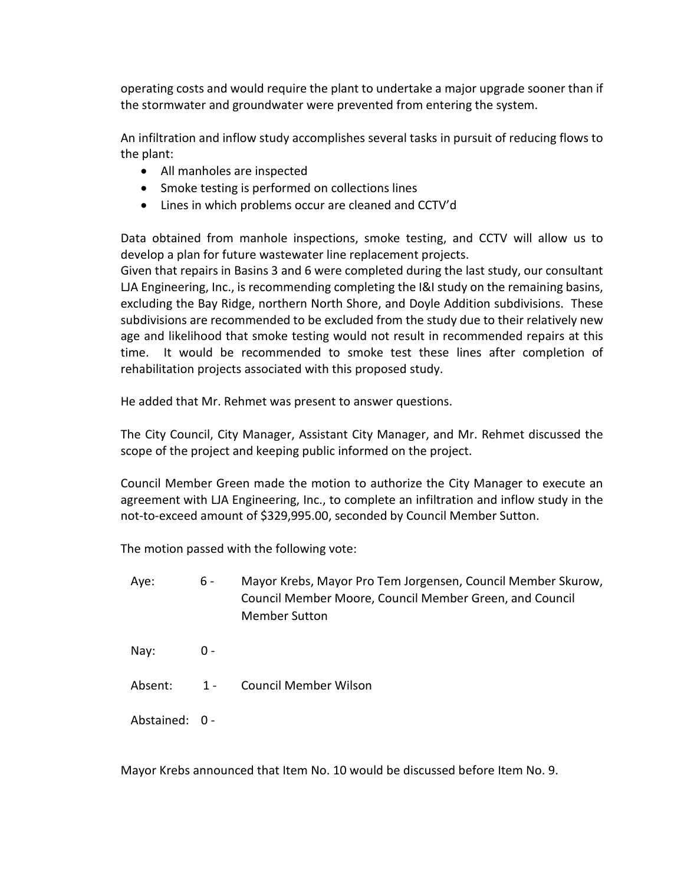operating costs and would require the plant to undertake a major upgrade sooner than if the stormwater and groundwater were prevented from entering the system.

An infiltration and inflow study accomplishes several tasks in pursuit of reducing flows to the plant:

- All manholes are inspected
- Smoke testing is performed on collections lines
- Lines in which problems occur are cleaned and CCTV'd

Data obtained from manhole inspections, smoke testing, and CCTV will allow us to develop a plan for future wastewater line replacement projects.

Given that repairs in Basins 3 and 6 were completed during the last study, our consultant LJA Engineering, Inc., is recommending completing the I&I study on the remaining basins, excluding the Bay Ridge, northern North Shore, and Doyle Addition subdivisions. These subdivisions are recommended to be excluded from the study due to their relatively new age and likelihood that smoke testing would not result in recommended repairs at this time. It would be recommended to smoke test these lines after completion of rehabilitation projects associated with this proposed study.

He added that Mr. Rehmet was present to answer questions.

The City Council, City Manager, Assistant City Manager, and Mr. Rehmet discussed the scope of the project and keeping public informed on the project.

Council Member Green made the motion to authorize the City Manager to execute an agreement with LJA Engineering, Inc., to complete an infiltration and inflow study in the not-to-exceed amount of \$329,995.00, seconded by Council Member Sutton.

The motion passed with the following vote:

- Aye: 6 Mayor Krebs, Mayor Pro Tem Jorgensen, Council Member Skurow, Council Member Moore, Council Member Green, and Council Member Sutton
- Nay: 0 -
- Absent: 1 Council Member Wilson
- Abstained: 0 -

Mayor Krebs announced that Item No. 10 would be discussed before Item No. 9.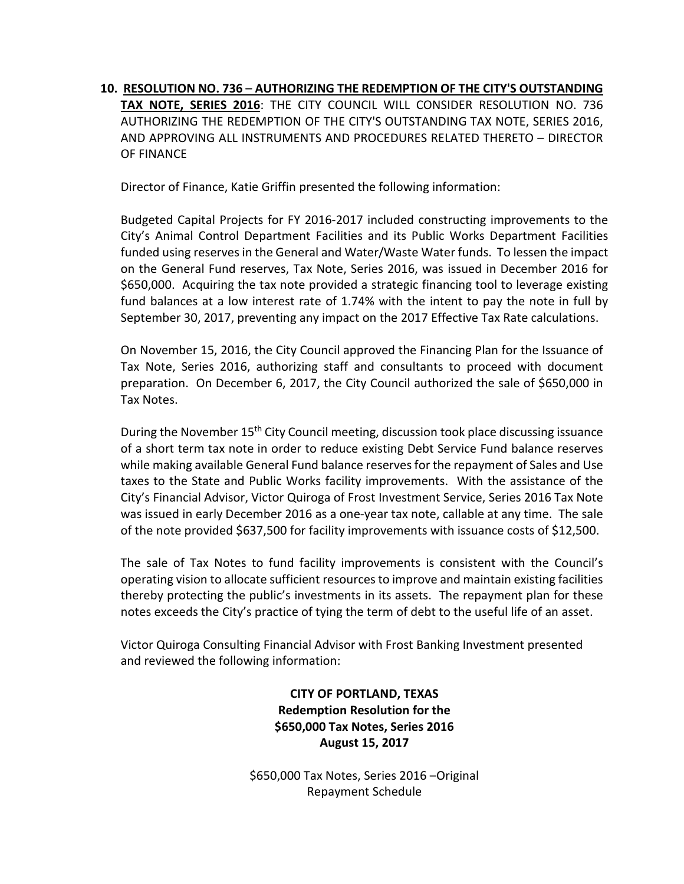**10. RESOLUTION NO. 736** – **AUTHORIZING THE REDEMPTION OF THE CITY'S OUTSTANDING TAX NOTE, SERIES 2016**: THE CITY COUNCIL WILL CONSIDER RESOLUTION NO. 736 AUTHORIZING THE REDEMPTION OF THE CITY'S OUTSTANDING TAX NOTE, SERIES 2016, AND APPROVING ALL INSTRUMENTS AND PROCEDURES RELATED THERETO – DIRECTOR OF FINANCE

Director of Finance, Katie Griffin presented the following information:

Budgeted Capital Projects for FY 2016-2017 included constructing improvements to the City's Animal Control Department Facilities and its Public Works Department Facilities funded using reserves in the General and Water/Waste Water funds. To lessen the impact on the General Fund reserves, Tax Note, Series 2016, was issued in December 2016 for \$650,000. Acquiring the tax note provided a strategic financing tool to leverage existing fund balances at a low interest rate of 1.74% with the intent to pay the note in full by September 30, 2017, preventing any impact on the 2017 Effective Tax Rate calculations.

On November 15, 2016, the City Council approved the Financing Plan for the Issuance of Tax Note, Series 2016, authorizing staff and consultants to proceed with document preparation. On December 6, 2017, the City Council authorized the sale of \$650,000 in Tax Notes.

During the November  $15<sup>th</sup>$  City Council meeting, discussion took place discussing issuance of a short term tax note in order to reduce existing Debt Service Fund balance reserves while making available General Fund balance reserves for the repayment of Sales and Use taxes to the State and Public Works facility improvements. With the assistance of the City's Financial Advisor, Victor Quiroga of Frost Investment Service, Series 2016 Tax Note was issued in early December 2016 as a one-year tax note, callable at any time. The sale of the note provided \$637,500 for facility improvements with issuance costs of \$12,500.

The sale of Tax Notes to fund facility improvements is consistent with the Council's operating vision to allocate sufficient resources to improve and maintain existing facilities thereby protecting the public's investments in its assets. The repayment plan for these notes exceeds the City's practice of tying the term of debt to the useful life of an asset.

Victor Quiroga Consulting Financial Advisor with Frost Banking Investment presented and reviewed the following information:

> **CITY OF PORTLAND, TEXAS Redemption Resolution for the \$650,000 Tax Notes, Series 2016 August 15, 2017**

\$650,000 Tax Notes, Series 2016 –Original Repayment Schedule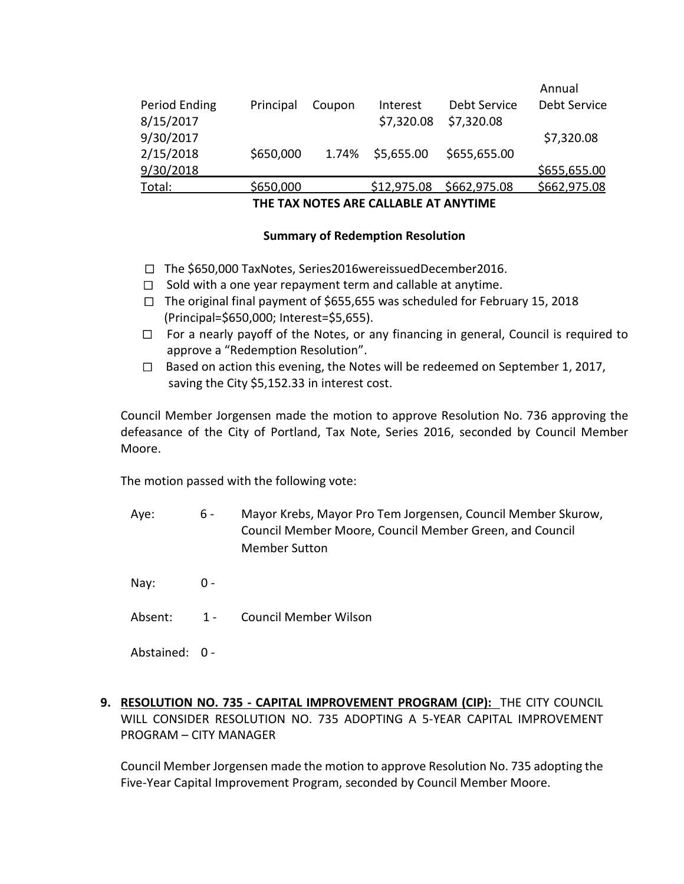| THE TAVAIATES ARE SAILARLE AT AAIVTIME |           |        |             |              |              |  |  |
|----------------------------------------|-----------|--------|-------------|--------------|--------------|--|--|
| Total:                                 | \$650,000 |        | \$12,975.08 | \$662,975.08 | \$662,975.08 |  |  |
| 9/30/2018                              |           |        |             |              | \$655,655.00 |  |  |
| 2/15/2018                              | \$650,000 | 1.74%  | \$5,655.00  | \$655,655.00 |              |  |  |
| 9/30/2017                              |           |        |             |              | \$7,320.08   |  |  |
| 8/15/2017                              |           |        | \$7,320.08  | \$7,320.08   |              |  |  |
| Period Ending                          | Principal | Coupon | Interest    | Debt Service | Debt Service |  |  |
|                                        |           |        |             |              | Annual       |  |  |

**THE TAX NOTES ARE CALLABLE AT ANYTIME**

#### **Summary of Redemption Resolution**

- The \$650,000 TaxNotes, Series2016wereissuedDecember2016.
- $\Box$  Sold with a one year repayment term and callable at anytime.
- The original final payment of \$655,655 was scheduled for February 15, 2018 (Principal=\$650,000; Interest=\$5,655).
- For a nearly payoff of the Notes, or any financing in general, Council is required to approve a "Redemption Resolution".
- Based on action this evening, the Notes will be redeemed on September 1, 2017, saving the City \$5,152.33 in interest cost.

Council Member Jorgensen made the motion to approve Resolution No. 736 approving the defeasance of the City of Portland, Tax Note, Series 2016, seconded by Council Member Moore.

The motion passed with the following vote:

- Aye: 6 Mayor Krebs, Mayor Pro Tem Jorgensen, Council Member Skurow, Council Member Moore, Council Member Green, and Council Member Sutton
- Nay: 0 -
- Absent: 1 Council Member Wilson

Abstained: 0 -

**9. RESOLUTION NO. 735 - CAPITAL IMPROVEMENT PROGRAM (CIP):** THE CITY COUNCIL WILL CONSIDER RESOLUTION NO. 735 ADOPTING A 5-YEAR CAPITAL IMPROVEMENT PROGRAM – CITY MANAGER

Council Member Jorgensen made the motion to approve Resolution No. 735 adopting the Five-Year Capital Improvement Program, seconded by Council Member Moore.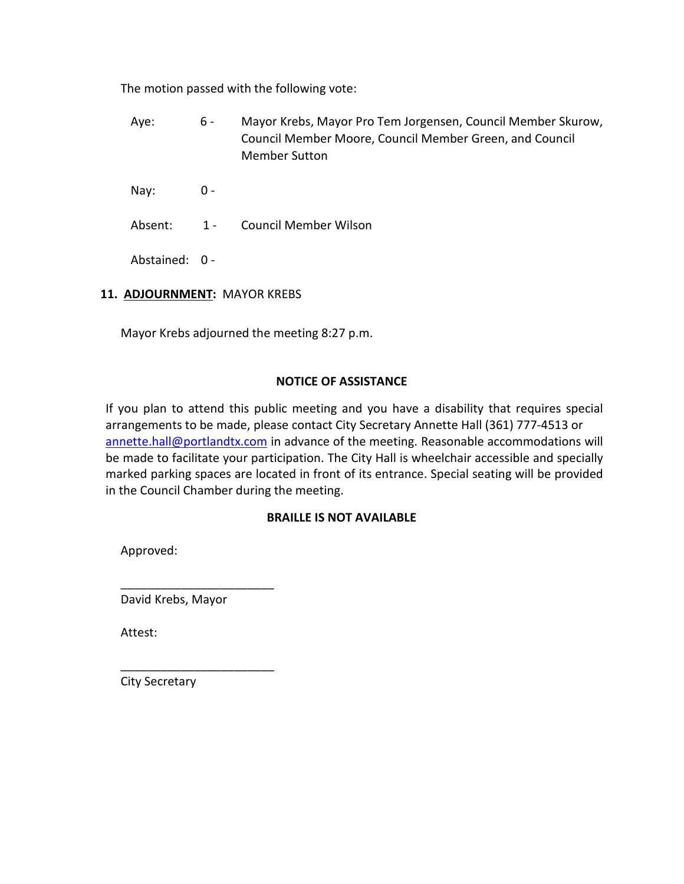The motion passed with the following vote:

- Aye: 6 Mayor Krebs, Mayor Pro Tem Jorgensen, Council Member Skurow, Council Member Moore, Council Member Green, and Council Member Sutton
- Nay: 0 -
- Absent: 1 Council Member Wilson

Abstained: 0 -

## **11. ADJOURNMENT:** MAYOR KREBS

Mayor Krebs adjourned the meeting 8:27 p.m.

#### **NOTICE OF ASSISTANCE**

If you plan to attend this public meeting and you have a disability that requires special arrangements to be made, please contact City Secretary Annette Hall (361) 777-4513 or [annette.hall@portlandtx.com](mailto:annette.hall@portlandtx.com) in advance of the meeting. Reasonable accommodations will be made to facilitate your participation. The City Hall is wheelchair accessible and specially marked parking spaces are located in front of its entrance. Special seating will be provided in the Council Chamber during the meeting.

## **BRAILLE IS NOT AVAILABLE**

Approved:

David Krebs, Mayor

\_\_\_\_\_\_\_\_\_\_\_\_\_\_\_\_\_\_\_\_\_\_\_

\_\_\_\_\_\_\_\_\_\_\_\_\_\_\_\_\_\_\_\_\_\_\_

Attest:

City Secretary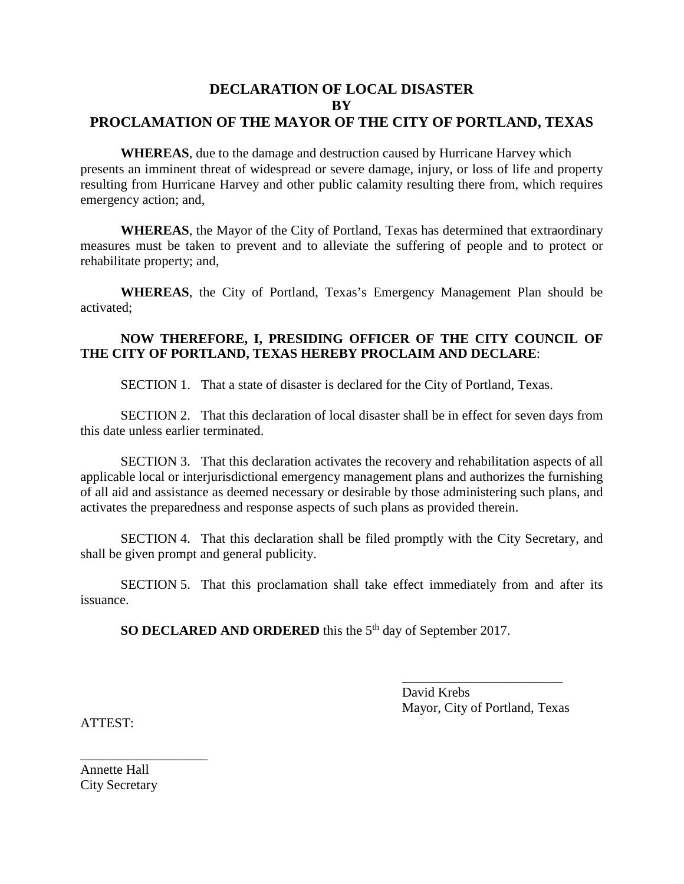## **DECLARATION OF LOCAL DISASTER BY PROCLAMATION OF THE MAYOR OF THE CITY OF PORTLAND, TEXAS**

**WHEREAS**, due to the damage and destruction caused by Hurricane Harvey which presents an imminent threat of widespread or severe damage, injury, or loss of life and property resulting from Hurricane Harvey and other public calamity resulting there from, which requires emergency action; and,

**WHEREAS**, the Mayor of the City of Portland, Texas has determined that extraordinary measures must be taken to prevent and to alleviate the suffering of people and to protect or rehabilitate property; and,

**WHEREAS**, the City of Portland, Texas's Emergency Management Plan should be activated;

#### **NOW THEREFORE, I, PRESIDING OFFICER OF THE CITY COUNCIL OF THE CITY OF PORTLAND, TEXAS HEREBY PROCLAIM AND DECLARE**:

SECTION 1. That a state of disaster is declared for the City of Portland, Texas.

SECTION 2. That this declaration of local disaster shall be in effect for seven days from this date unless earlier terminated.

SECTION 3. That this declaration activates the recovery and rehabilitation aspects of all applicable local or interjurisdictional emergency management plans and authorizes the furnishing of all aid and assistance as deemed necessary or desirable by those administering such plans, and activates the preparedness and response aspects of such plans as provided therein.

SECTION 4. That this declaration shall be filed promptly with the City Secretary, and shall be given prompt and general publicity.

SECTION 5. That this proclamation shall take effect immediately from and after its issuance.

**SO DECLARED AND ORDERED** this the 5<sup>th</sup> day of September 2017.

\_\_\_\_\_\_\_\_\_\_\_\_\_\_\_\_\_\_\_\_\_\_\_\_ David Krebs Mayor, City of Portland, Texas

ATTEST:

Annette Hall City Secretary

\_\_\_\_\_\_\_\_\_\_\_\_\_\_\_\_\_\_\_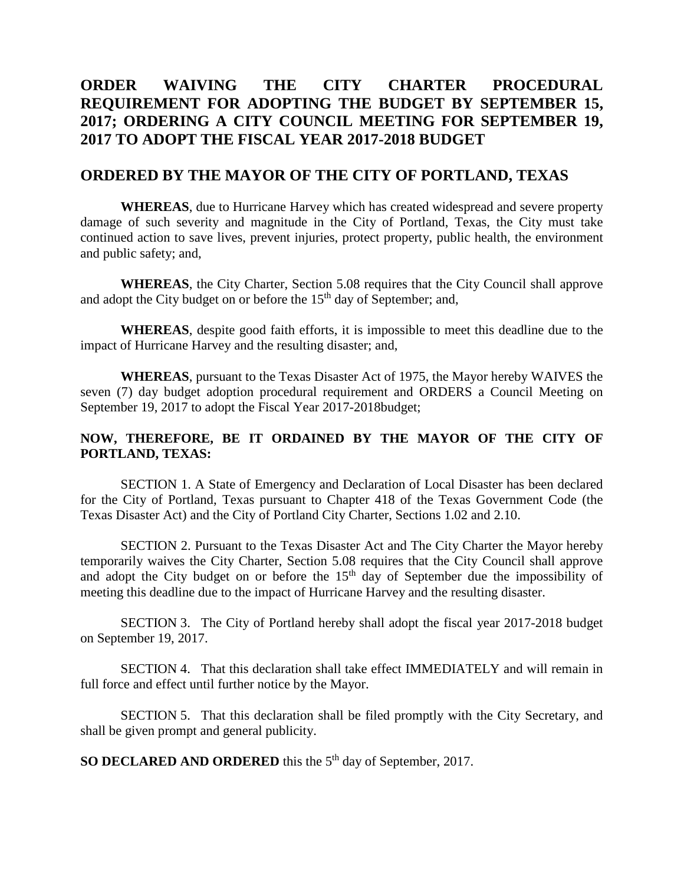## **ORDER WAIVING THE CITY CHARTER PROCEDURAL REQUIREMENT FOR ADOPTING THE BUDGET BY SEPTEMBER 15, 2017; ORDERING A CITY COUNCIL MEETING FOR SEPTEMBER 19, 2017 TO ADOPT THE FISCAL YEAR 2017-2018 BUDGET**

#### **ORDERED BY THE MAYOR OF THE CITY OF PORTLAND, TEXAS**

**WHEREAS**, due to Hurricane Harvey which has created widespread and severe property damage of such severity and magnitude in the City of Portland, Texas, the City must take continued action to save lives, prevent injuries, protect property, public health, the environment and public safety; and,

**WHEREAS**, the City Charter, Section 5.08 requires that the City Council shall approve and adopt the City budget on or before the  $15<sup>th</sup>$  day of September; and,

**WHEREAS**, despite good faith efforts, it is impossible to meet this deadline due to the impact of Hurricane Harvey and the resulting disaster; and,

**WHEREAS**, pursuant to the Texas Disaster Act of 1975, the Mayor hereby WAIVES the seven (7) day budget adoption procedural requirement and ORDERS a Council Meeting on September 19, 2017 to adopt the Fiscal Year 2017-2018budget;

#### **NOW, THEREFORE, BE IT ORDAINED BY THE MAYOR OF THE CITY OF PORTLAND, TEXAS:**

SECTION 1. A State of Emergency and Declaration of Local Disaster has been declared for the City of Portland, Texas pursuant to Chapter 418 of the Texas Government Code (the Texas Disaster Act) and the City of Portland City Charter, Sections 1.02 and 2.10.

SECTION 2. Pursuant to the Texas Disaster Act and The City Charter the Mayor hereby temporarily waives the City Charter, Section 5.08 requires that the City Council shall approve and adopt the City budget on or before the 15<sup>th</sup> day of September due the impossibility of meeting this deadline due to the impact of Hurricane Harvey and the resulting disaster.

SECTION 3. The City of Portland hereby shall adopt the fiscal year 2017-2018 budget on September 19, 2017.

SECTION 4. That this declaration shall take effect IMMEDIATELY and will remain in full force and effect until further notice by the Mayor.

SECTION 5. That this declaration shall be filed promptly with the City Secretary, and shall be given prompt and general publicity.

**SO DECLARED AND ORDERED** this the 5<sup>th</sup> day of September, 2017.